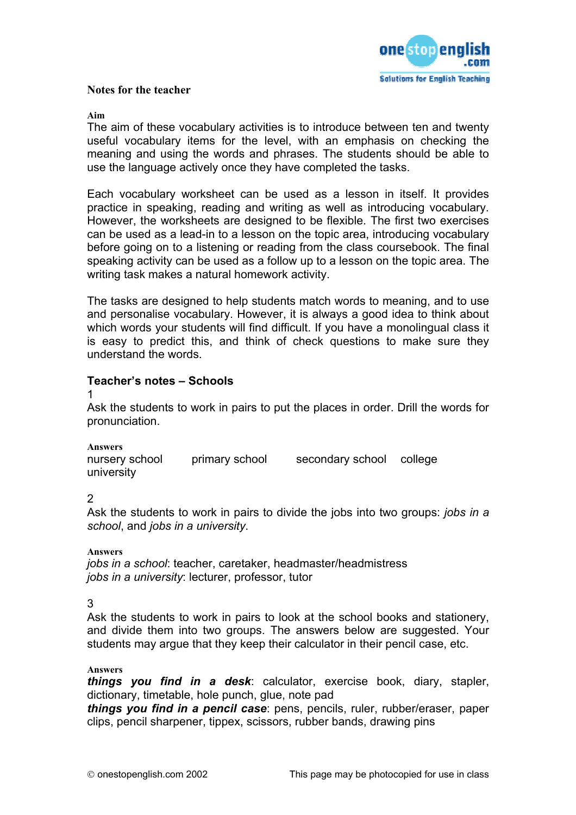

## **Notes for the teacher**

## **Aim**

The aim of these vocabulary activities is to introduce between ten and twenty useful vocabulary items for the level, with an emphasis on checking the meaning and using the words and phrases. The students should be able to use the language actively once they have completed the tasks.

Each vocabulary worksheet can be used as a lesson in itself. It provides practice in speaking, reading and writing as well as introducing vocabulary. However, the worksheets are designed to be flexible. The first two exercises can be used as a lead-in to a lesson on the topic area, introducing vocabulary before going on to a listening or reading from the class coursebook. The final speaking activity can be used as a follow up to a lesson on the topic area. The writing task makes a natural homework activity.

The tasks are designed to help students match words to meaning, and to use and personalise vocabulary. However, it is always a good idea to think about which words your students will find difficult. If you have a monolingual class it is easy to predict this, and think of check questions to make sure they understand the words.

## **Teacher's notes – Schools**

1

Ask the students to work in pairs to put the places in order. Drill the words for pronunciation.

**Answers** 

nursery school primary school secondary school college university

2

Ask the students to work in pairs to divide the jobs into two groups: *jobs in a school*, and *jobs in a university*.

**Answers**  *jobs in a school*: teacher, caretaker, headmaster/headmistress *jobs in a university*: lecturer, professor, tutor

3

Ask the students to work in pairs to look at the school books and stationery, and divide them into two groups. The answers below are suggested. Your students may argue that they keep their calculator in their pencil case, etc.

## **Answers**

*things you find in a desk*: calculator, exercise book, diary, stapler, dictionary, timetable, hole punch, glue, note pad

*things you find in a pencil case*: pens, pencils, ruler, rubber/eraser, paper clips, pencil sharpener, tippex, scissors, rubber bands, drawing pins